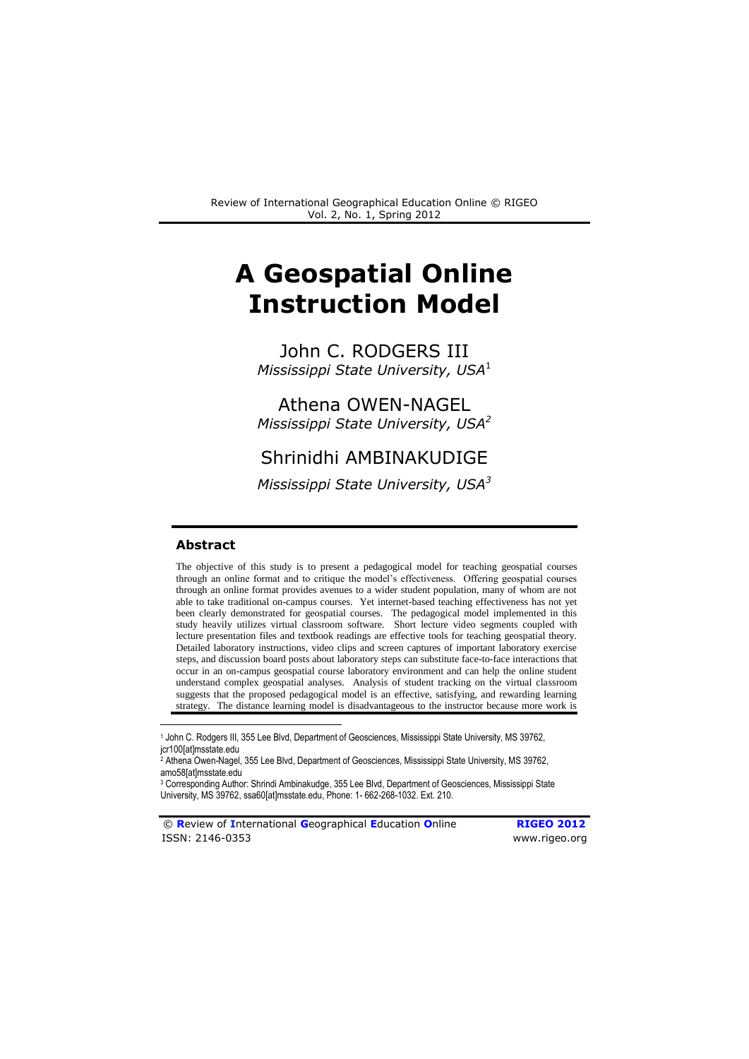# **A Geospatial Online Instruction Model**

John C. RODGERS III *Mississippi State University, USA*<sup>1</sup>

Athena OWEN-NAGEL *Mississippi State University, USA<sup>2</sup>*

# Shrinidhi AMBINAKUDIGE

*Mississippi State University, USA<sup>3</sup>*

### **Abstract**

1

The objective of this study is to present a pedagogical model for teaching geospatial courses through an online format and to critique the model's effectiveness. Offering geospatial courses through an online format provides avenues to a wider student population, many of whom are not able to take traditional on-campus courses. Yet internet-based teaching effectiveness has not yet been clearly demonstrated for geospatial courses. The pedagogical model implemented in this study heavily utilizes virtual classroom software. Short lecture video segments coupled with lecture presentation files and textbook readings are effective tools for teaching geospatial theory. Detailed laboratory instructions, video clips and screen captures of important laboratory exercise steps, and discussion board posts about laboratory steps can substitute face-to-face interactions that occur in an on-campus geospatial course laboratory environment and can help the online student understand complex geospatial analyses. Analysis of student tracking on the virtual classroom suggests that the proposed pedagogical model is an effective, satisfying, and rewarding learning strategy. The distance learning model is disadvantageous to the instructor because more work is

© **R**eview of **I**nternational **G**eographical **E**ducation **O**nline **RIGEO 2012** ISSN: 2146-0353 www.rigeo.org

<sup>1</sup> John C. Rodgers III, 355 Lee Blvd, Department of Geosciences, Mississippi State University, MS 39762, jcr100[at]msstate.edu

<sup>2</sup> Athena Owen-Nagel, 355 Lee Blvd, Department of Geosciences, Mississippi State University, MS 39762, amo58[at]msstate.edu

<sup>3</sup> Corresponding Author: Shrindi Ambinakudge, 355 Lee Blvd, Department of Geosciences, Mississippi State University, MS 39762, ssa60[at]msstate.edu, Phone: 1- 662-268-1032. Ext. 210.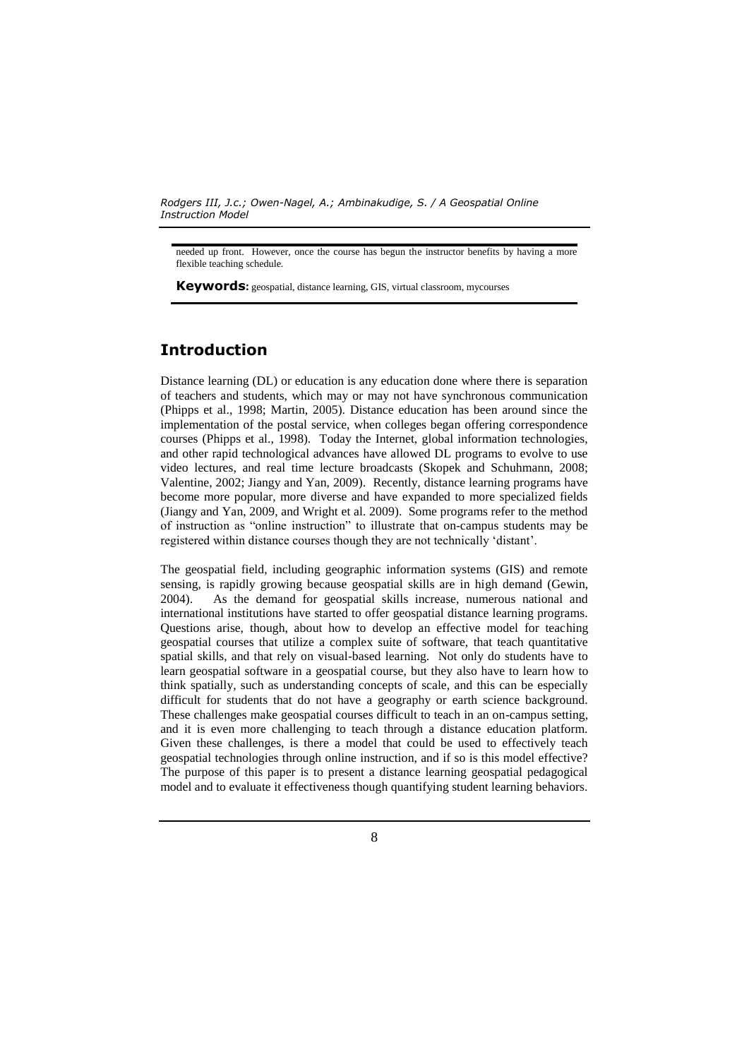needed up front. However, once the course has begun the instructor benefits by having a more flexible teaching schedule.

**Keywords:** geospatial, distance learning, GIS, virtual classroom, mycourses

# **Introduction**

Distance learning (DL) or education is any education done where there is separation of teachers and students, which may or may not have synchronous communication (Phipps et al., 1998; Martin, 2005). Distance education has been around since the implementation of the postal service, when colleges began offering correspondence courses (Phipps et al., 1998). Today the Internet, global information technologies, and other rapid technological advances have allowed DL programs to evolve to use video lectures, and real time lecture broadcasts (Skopek and Schuhmann, 2008; Valentine, 2002; Jiangy and Yan, 2009). Recently, distance learning programs have become more popular, more diverse and have expanded to more specialized fields (Jiangy and Yan, 2009, and Wright et al. 2009). Some programs refer to the method of instruction as "online instruction" to illustrate that on-campus students may be registered within distance courses though they are not technically 'distant'.

The geospatial field, including geographic information systems (GIS) and remote sensing, is rapidly growing because geospatial skills are in high demand (Gewin, 2004). As the demand for geospatial skills increase, numerous national and international institutions have started to offer geospatial distance learning programs. Questions arise, though, about how to develop an effective model for teaching geospatial courses that utilize a complex suite of software, that teach quantitative spatial skills, and that rely on visual-based learning. Not only do students have to learn geospatial software in a geospatial course, but they also have to learn how to think spatially, such as understanding concepts of scale, and this can be especially difficult for students that do not have a geography or earth science background. These challenges make geospatial courses difficult to teach in an on-campus setting, and it is even more challenging to teach through a distance education platform. Given these challenges, is there a model that could be used to effectively teach geospatial technologies through online instruction, and if so is this model effective? The purpose of this paper is to present a distance learning geospatial pedagogical model and to evaluate it effectiveness though quantifying student learning behaviors.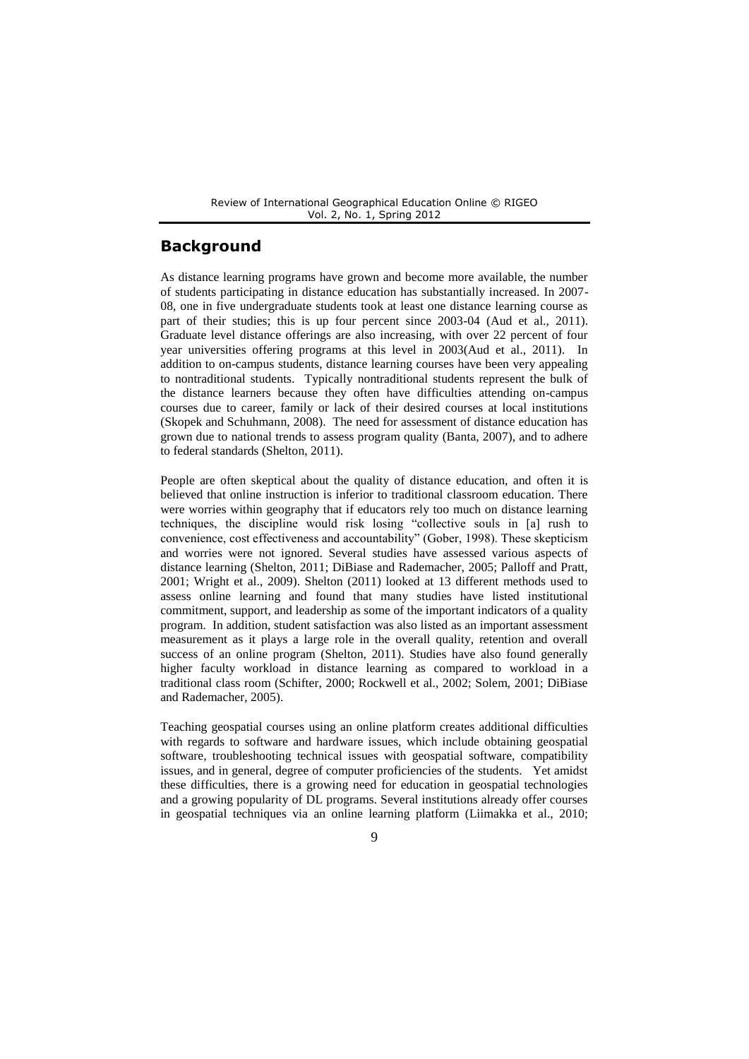# **Background**

As distance learning programs have grown and become more available, the number of students participating in distance education has substantially increased. In 2007- 08, one in five undergraduate students took at least one distance learning course as part of their studies; this is up four percent since 2003-04 (Aud et al., 2011). Graduate level distance offerings are also increasing, with over 22 percent of four year universities offering programs at this level in 2003(Aud et al., 2011). In addition to on-campus students, distance learning courses have been very appealing to nontraditional students. Typically nontraditional students represent the bulk of the distance learners because they often have difficulties attending on-campus courses due to career, family or lack of their desired courses at local institutions (Skopek and Schuhmann, 2008). The need for assessment of distance education has grown due to national trends to assess program quality (Banta, 2007), and to adhere to federal standards (Shelton, 2011).

People are often skeptical about the quality of distance education, and often it is believed that online instruction is inferior to traditional classroom education. There were worries within geography that if educators rely too much on distance learning techniques, the discipline would risk losing "collective souls in [a] rush to convenience, cost effectiveness and accountability" (Gober, 1998). These skepticism and worries were not ignored. Several studies have assessed various aspects of distance learning (Shelton, 2011; DiBiase and Rademacher, 2005; Palloff and Pratt, 2001; Wright et al., 2009). Shelton (2011) looked at 13 different methods used to assess online learning and found that many studies have listed institutional commitment, support, and leadership as some of the important indicators of a quality program. In addition, student satisfaction was also listed as an important assessment measurement as it plays a large role in the overall quality, retention and overall success of an online program (Shelton, 2011). Studies have also found generally higher faculty workload in distance learning as compared to workload in a traditional class room (Schifter, 2000; Rockwell et al., 2002; Solem, 2001; DiBiase and Rademacher, 2005).

Teaching geospatial courses using an online platform creates additional difficulties with regards to software and hardware issues, which include obtaining geospatial software, troubleshooting technical issues with geospatial software, compatibility issues, and in general, degree of computer proficiencies of the students. Yet amidst these difficulties, there is a growing need for education in geospatial technologies and a growing popularity of DL programs. Several institutions already offer courses in geospatial techniques via an online learning platform (Liimakka et al., 2010;

 $\mathbf Q$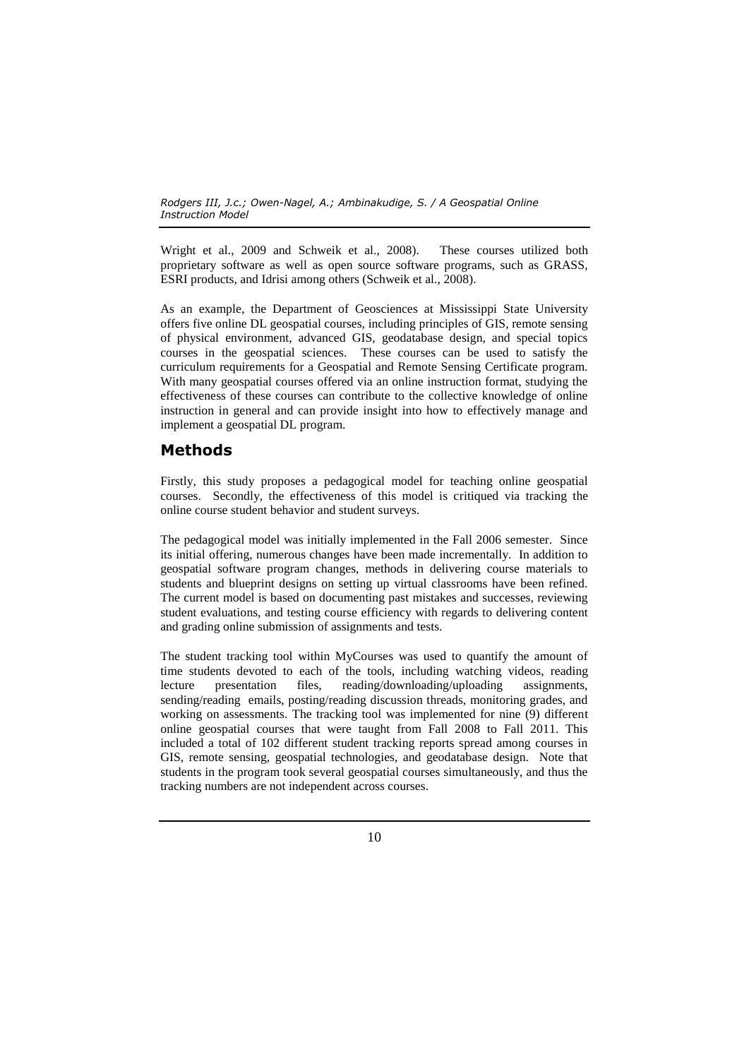Wright et al., 2009 and Schweik et al., 2008). These courses utilized both proprietary software as well as open source software programs, such as GRASS, ESRI products, and Idrisi among others (Schweik et al., 2008).

As an example, the Department of Geosciences at Mississippi State University offers five online DL geospatial courses, including principles of GIS, remote sensing of physical environment, advanced GIS, geodatabase design, and special topics courses in the geospatial sciences. These courses can be used to satisfy the curriculum requirements for a Geospatial and Remote Sensing Certificate program. With many geospatial courses offered via an online instruction format, studying the effectiveness of these courses can contribute to the collective knowledge of online instruction in general and can provide insight into how to effectively manage and implement a geospatial DL program.

# **Methods**

Firstly, this study proposes a pedagogical model for teaching online geospatial courses. Secondly, the effectiveness of this model is critiqued via tracking the online course student behavior and student surveys.

The pedagogical model was initially implemented in the Fall 2006 semester. Since its initial offering, numerous changes have been made incrementally. In addition to geospatial software program changes, methods in delivering course materials to students and blueprint designs on setting up virtual classrooms have been refined. The current model is based on documenting past mistakes and successes, reviewing student evaluations, and testing course efficiency with regards to delivering content and grading online submission of assignments and tests.

The student tracking tool within MyCourses was used to quantify the amount of time students devoted to each of the tools, including watching videos, reading lecture presentation files, reading/downloading/uploading assignments, sending/reading emails, posting/reading discussion threads, monitoring grades, and working on assessments. The tracking tool was implemented for nine (9) different online geospatial courses that were taught from Fall 2008 to Fall 2011. This included a total of 102 different student tracking reports spread among courses in GIS, remote sensing, geospatial technologies, and geodatabase design. Note that students in the program took several geospatial courses simultaneously, and thus the tracking numbers are not independent across courses.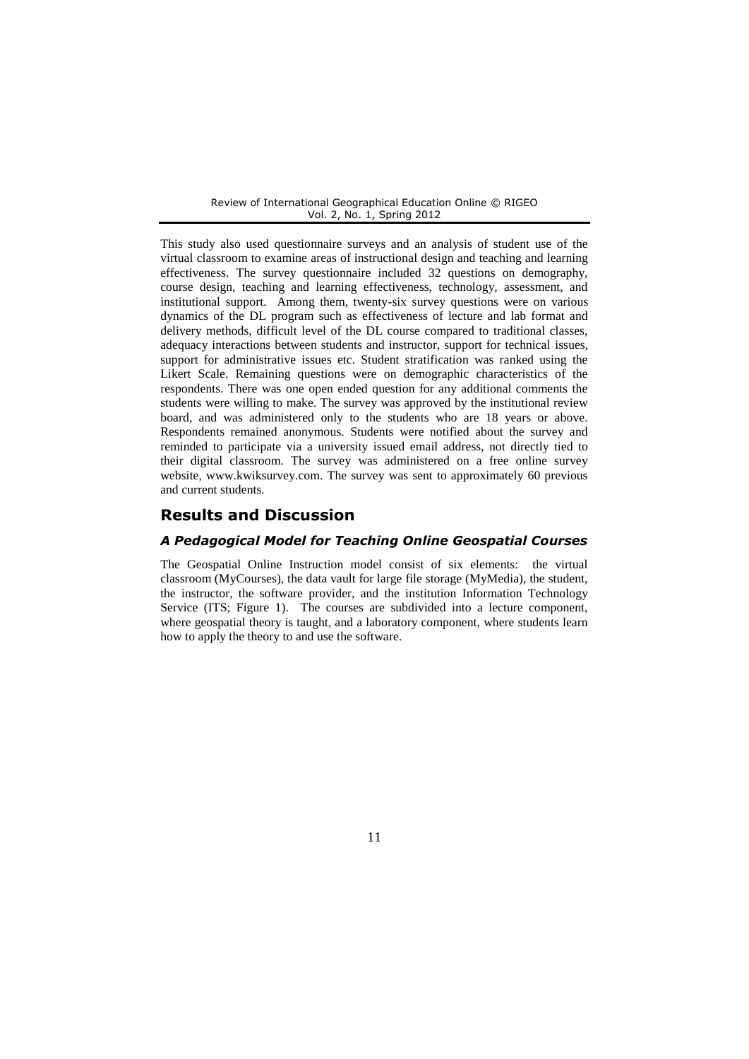This study also used questionnaire surveys and an analysis of student use of the virtual classroom to examine areas of instructional design and teaching and learning effectiveness. The survey questionnaire included 32 questions on demography, course design, teaching and learning effectiveness, technology, assessment, and institutional support. Among them, twenty-six survey questions were on various dynamics of the DL program such as effectiveness of lecture and lab format and delivery methods, difficult level of the DL course compared to traditional classes, adequacy interactions between students and instructor, support for technical issues, support for administrative issues etc. Student stratification was ranked using the Likert Scale. Remaining questions were on demographic characteristics of the respondents. There was one open ended question for any additional comments the students were willing to make. The survey was approved by the institutional review board, and was administered only to the students who are 18 years or above. Respondents remained anonymous. Students were notified about the survey and reminded to participate via a university issued email address, not directly tied to their digital classroom. The survey was administered on a free online survey website, www.kwiksurvey.com. The survey was sent to approximately 60 previous and current students.

### **Results and Discussion**

### *A Pedagogical Model for Teaching Online Geospatial Courses*

The Geospatial Online Instruction model consist of six elements: the virtual classroom (MyCourses), the data vault for large file storage (MyMedia), the student, the instructor, the software provider, and the institution Information Technology Service (ITS; Figure 1). The courses are subdivided into a lecture component, where geospatial theory is taught, and a laboratory component, where students learn how to apply the theory to and use the software.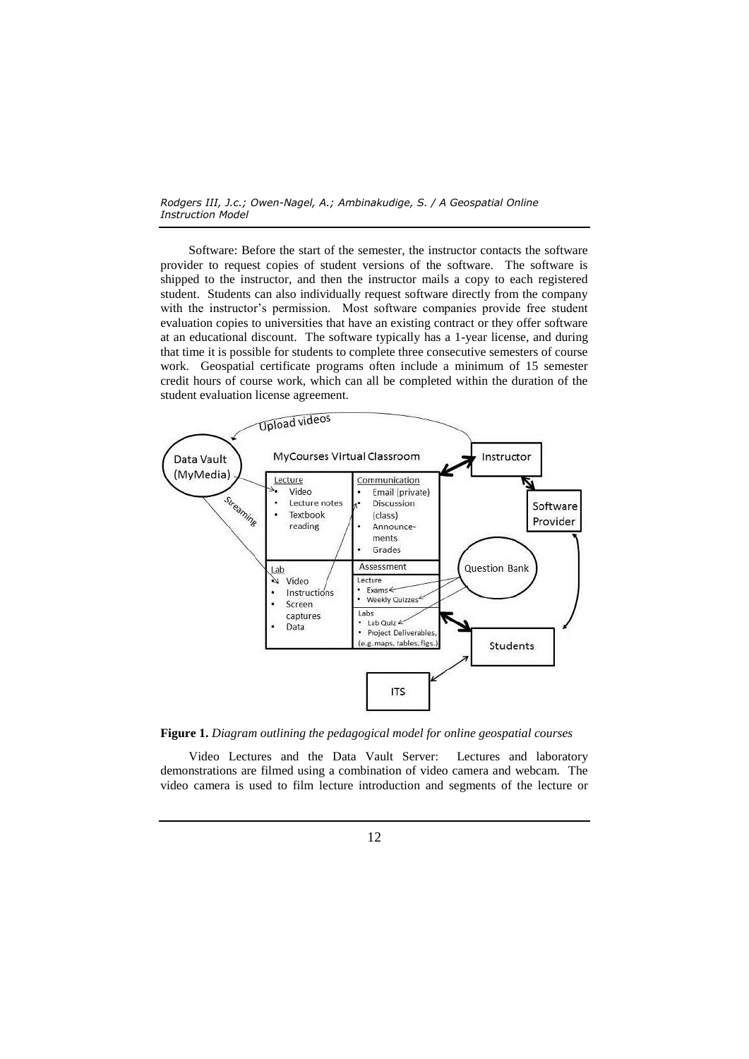Software: Before the start of the semester, the instructor contacts the software provider to request copies of student versions of the software. The software is shipped to the instructor, and then the instructor mails a copy to each registered student. Students can also individually request software directly from the company with the instructor's permission. Most software companies provide free student evaluation copies to universities that have an existing contract or they offer software at an educational discount. The software typically has a 1-year license, and during that time it is possible for students to complete three consecutive semesters of course work. Geospatial certificate programs often include a minimum of 15 semester credit hours of course work, which can all be completed within the duration of the student evaluation license agreement.



**Figure 1.** *Diagram outlining the pedagogical model for online geospatial courses*

Video Lectures and the Data Vault Server: Lectures and laboratory demonstrations are filmed using a combination of video camera and webcam. The video camera is used to film lecture introduction and segments of the lecture or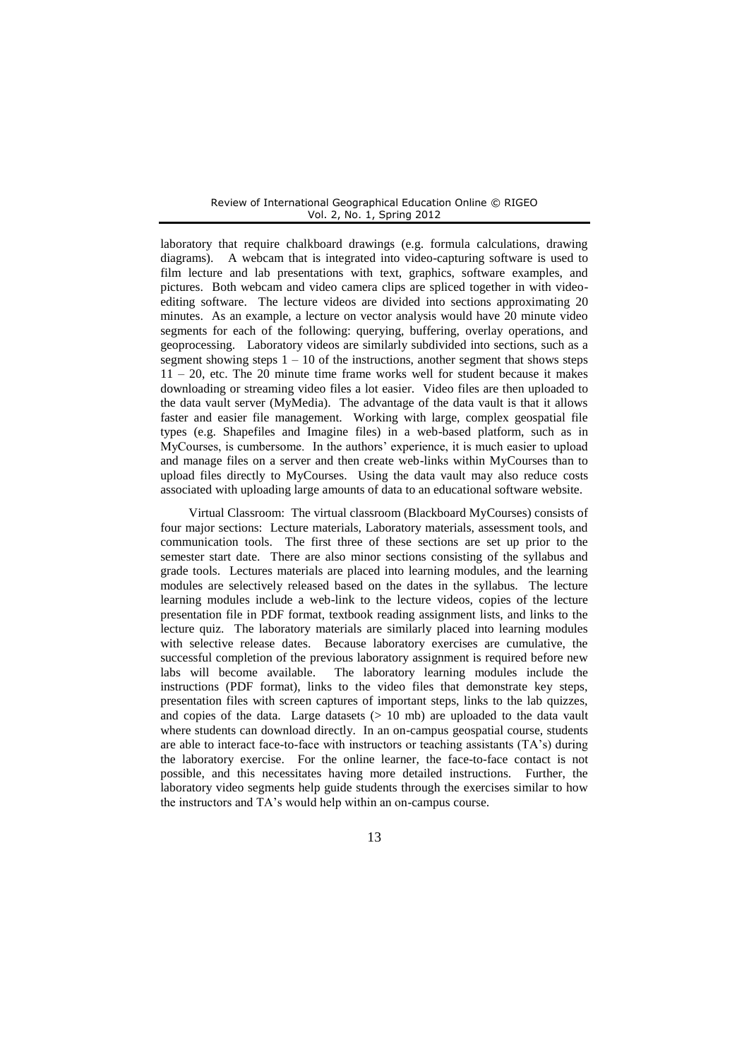laboratory that require chalkboard drawings (e.g. formula calculations, drawing diagrams). A webcam that is integrated into video-capturing software is used to film lecture and lab presentations with text, graphics, software examples, and pictures. Both webcam and video camera clips are spliced together in with videoediting software. The lecture videos are divided into sections approximating 20 minutes. As an example, a lecture on vector analysis would have 20 minute video segments for each of the following: querying, buffering, overlay operations, and geoprocessing. Laboratory videos are similarly subdivided into sections, such as a segment showing steps  $1 - 10$  of the instructions, another segment that shows steps 11 – 20, etc. The 20 minute time frame works well for student because it makes downloading or streaming video files a lot easier. Video files are then uploaded to the data vault server (MyMedia). The advantage of the data vault is that it allows faster and easier file management. Working with large, complex geospatial file types (e.g. Shapefiles and Imagine files) in a web-based platform, such as in MyCourses, is cumbersome. In the authors' experience, it is much easier to upload and manage files on a server and then create web-links within MyCourses than to upload files directly to MyCourses. Using the data vault may also reduce costs associated with uploading large amounts of data to an educational software website.

Virtual Classroom: The virtual classroom (Blackboard MyCourses) consists of four major sections: Lecture materials, Laboratory materials, assessment tools, and communication tools. The first three of these sections are set up prior to the semester start date. There are also minor sections consisting of the syllabus and grade tools. Lectures materials are placed into learning modules, and the learning modules are selectively released based on the dates in the syllabus. The lecture learning modules include a web-link to the lecture videos, copies of the lecture presentation file in PDF format, textbook reading assignment lists, and links to the lecture quiz. The laboratory materials are similarly placed into learning modules with selective release dates. Because laboratory exercises are cumulative, the successful completion of the previous laboratory assignment is required before new labs will become available. The laboratory learning modules include the instructions (PDF format), links to the video files that demonstrate key steps, presentation files with screen captures of important steps, links to the lab quizzes, and copies of the data. Large datasets  $(> 10 \text{ mb})$  are uploaded to the data vault where students can download directly. In an on-campus geospatial course, students are able to interact face-to-face with instructors or teaching assistants (TA's) during the laboratory exercise. For the online learner, the face-to-face contact is not possible, and this necessitates having more detailed instructions. Further, the laboratory video segments help guide students through the exercises similar to how the instructors and TA's would help within an on-campus course.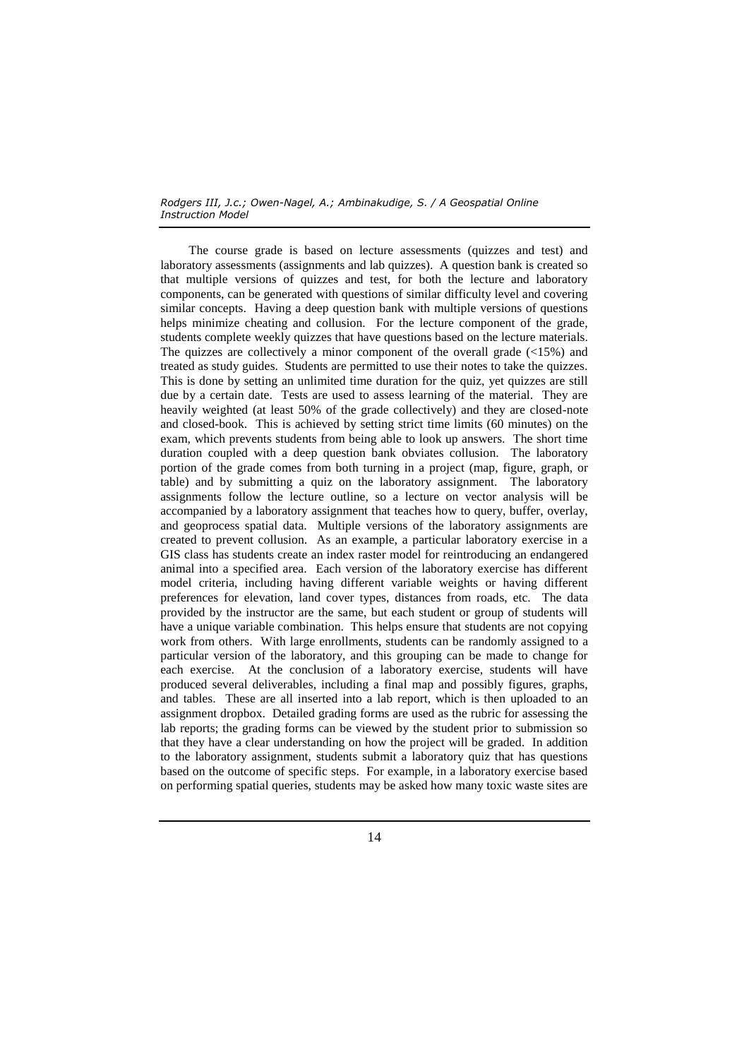The course grade is based on lecture assessments (quizzes and test) and laboratory assessments (assignments and lab quizzes). A question bank is created so that multiple versions of quizzes and test, for both the lecture and laboratory components, can be generated with questions of similar difficulty level and covering similar concepts. Having a deep question bank with multiple versions of questions helps minimize cheating and collusion. For the lecture component of the grade, students complete weekly quizzes that have questions based on the lecture materials. The quizzes are collectively a minor component of the overall grade  $\ll 15\%$  and treated as study guides. Students are permitted to use their notes to take the quizzes. This is done by setting an unlimited time duration for the quiz, yet quizzes are still due by a certain date. Tests are used to assess learning of the material. They are heavily weighted (at least 50% of the grade collectively) and they are closed-note and closed-book. This is achieved by setting strict time limits (60 minutes) on the exam, which prevents students from being able to look up answers. The short time duration coupled with a deep question bank obviates collusion. The laboratory portion of the grade comes from both turning in a project (map, figure, graph, or table) and by submitting a quiz on the laboratory assignment. The laboratory assignments follow the lecture outline, so a lecture on vector analysis will be accompanied by a laboratory assignment that teaches how to query, buffer, overlay, and geoprocess spatial data. Multiple versions of the laboratory assignments are created to prevent collusion. As an example, a particular laboratory exercise in a GIS class has students create an index raster model for reintroducing an endangered animal into a specified area. Each version of the laboratory exercise has different model criteria, including having different variable weights or having different preferences for elevation, land cover types, distances from roads, etc. The data provided by the instructor are the same, but each student or group of students will have a unique variable combination. This helps ensure that students are not copying work from others. With large enrollments, students can be randomly assigned to a particular version of the laboratory, and this grouping can be made to change for each exercise. At the conclusion of a laboratory exercise, students will have produced several deliverables, including a final map and possibly figures, graphs, and tables. These are all inserted into a lab report, which is then uploaded to an assignment dropbox. Detailed grading forms are used as the rubric for assessing the lab reports; the grading forms can be viewed by the student prior to submission so that they have a clear understanding on how the project will be graded. In addition to the laboratory assignment, students submit a laboratory quiz that has questions based on the outcome of specific steps. For example, in a laboratory exercise based on performing spatial queries, students may be asked how many toxic waste sites are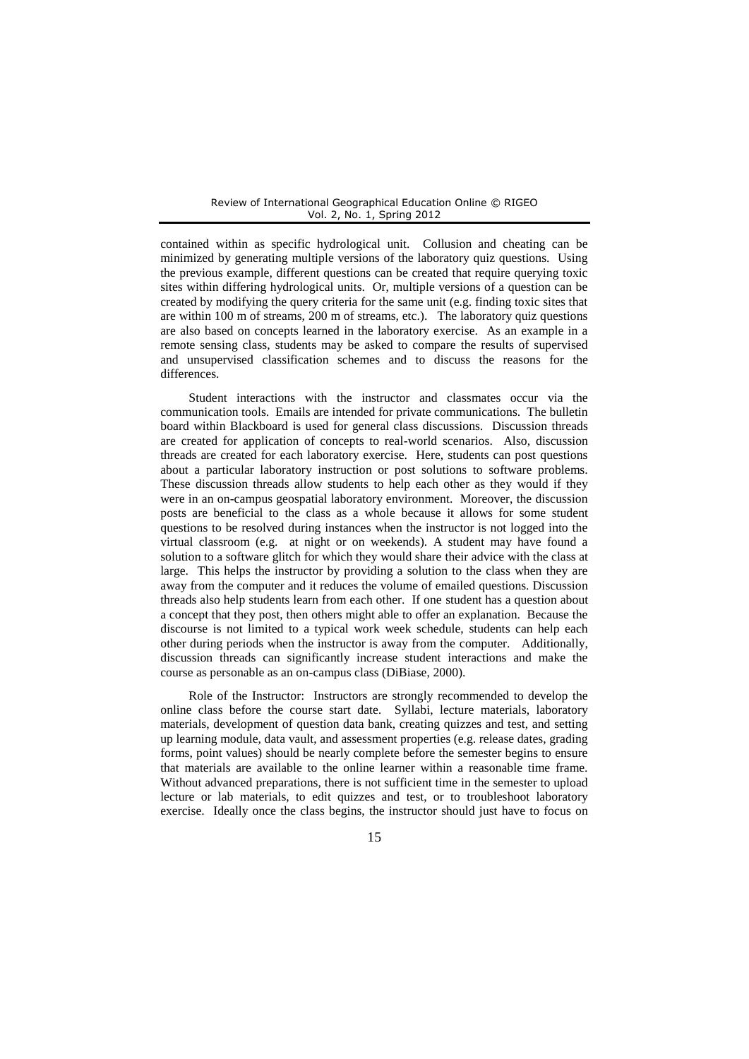contained within as specific hydrological unit. Collusion and cheating can be minimized by generating multiple versions of the laboratory quiz questions. Using the previous example, different questions can be created that require querying toxic sites within differing hydrological units. Or, multiple versions of a question can be created by modifying the query criteria for the same unit (e.g. finding toxic sites that are within 100 m of streams, 200 m of streams, etc.). The laboratory quiz questions are also based on concepts learned in the laboratory exercise. As an example in a remote sensing class, students may be asked to compare the results of supervised and unsupervised classification schemes and to discuss the reasons for the differences.

Student interactions with the instructor and classmates occur via the communication tools. Emails are intended for private communications. The bulletin board within Blackboard is used for general class discussions. Discussion threads are created for application of concepts to real-world scenarios. Also, discussion threads are created for each laboratory exercise. Here, students can post questions about a particular laboratory instruction or post solutions to software problems. These discussion threads allow students to help each other as they would if they were in an on-campus geospatial laboratory environment. Moreover, the discussion posts are beneficial to the class as a whole because it allows for some student questions to be resolved during instances when the instructor is not logged into the virtual classroom (e.g. at night or on weekends). A student may have found a solution to a software glitch for which they would share their advice with the class at large. This helps the instructor by providing a solution to the class when they are away from the computer and it reduces the volume of emailed questions. Discussion threads also help students learn from each other. If one student has a question about a concept that they post, then others might able to offer an explanation. Because the discourse is not limited to a typical work week schedule, students can help each other during periods when the instructor is away from the computer. Additionally, discussion threads can significantly increase student interactions and make the course as personable as an on-campus class (DiBiase, 2000).

Role of the Instructor: Instructors are strongly recommended to develop the online class before the course start date. Syllabi, lecture materials, laboratory materials, development of question data bank, creating quizzes and test, and setting up learning module, data vault, and assessment properties (e.g. release dates, grading forms, point values) should be nearly complete before the semester begins to ensure that materials are available to the online learner within a reasonable time frame. Without advanced preparations, there is not sufficient time in the semester to upload lecture or lab materials, to edit quizzes and test, or to troubleshoot laboratory exercise. Ideally once the class begins, the instructor should just have to focus on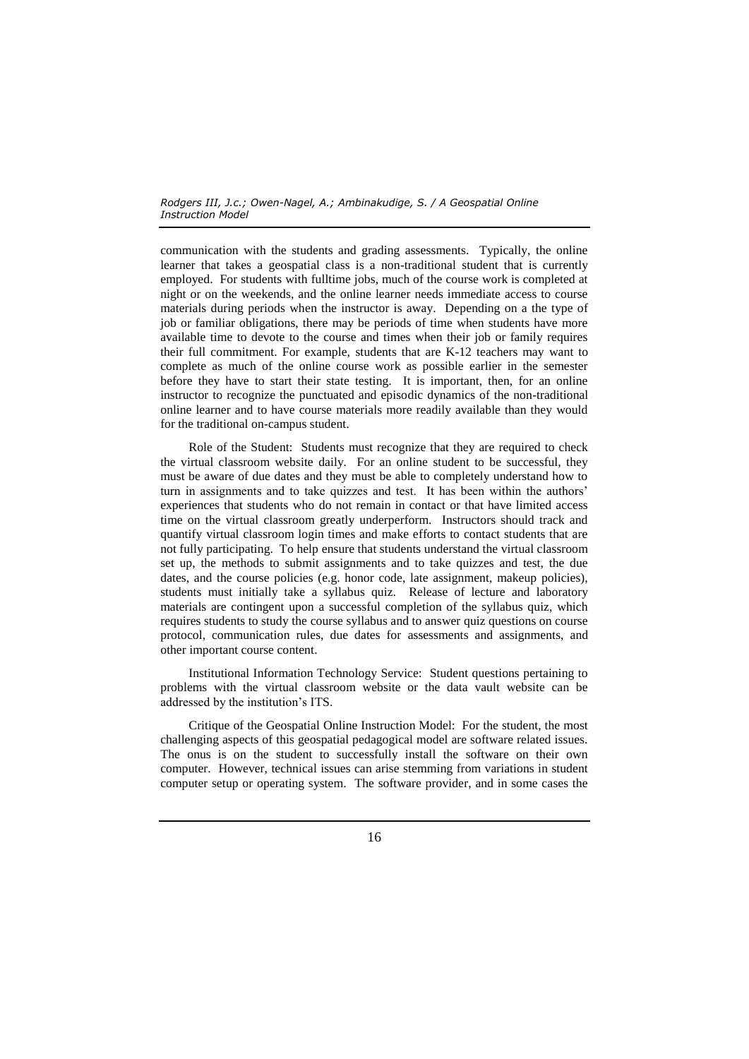communication with the students and grading assessments. Typically, the online learner that takes a geospatial class is a non-traditional student that is currently employed. For students with fulltime jobs, much of the course work is completed at night or on the weekends, and the online learner needs immediate access to course materials during periods when the instructor is away. Depending on a the type of job or familiar obligations, there may be periods of time when students have more available time to devote to the course and times when their job or family requires their full commitment. For example, students that are K-12 teachers may want to complete as much of the online course work as possible earlier in the semester before they have to start their state testing. It is important, then, for an online instructor to recognize the punctuated and episodic dynamics of the non-traditional online learner and to have course materials more readily available than they would for the traditional on-campus student.

Role of the Student: Students must recognize that they are required to check the virtual classroom website daily. For an online student to be successful, they must be aware of due dates and they must be able to completely understand how to turn in assignments and to take quizzes and test. It has been within the authors' experiences that students who do not remain in contact or that have limited access time on the virtual classroom greatly underperform. Instructors should track and quantify virtual classroom login times and make efforts to contact students that are not fully participating. To help ensure that students understand the virtual classroom set up, the methods to submit assignments and to take quizzes and test, the due dates, and the course policies (e.g. honor code, late assignment, makeup policies), students must initially take a syllabus quiz. Release of lecture and laboratory materials are contingent upon a successful completion of the syllabus quiz, which requires students to study the course syllabus and to answer quiz questions on course protocol, communication rules, due dates for assessments and assignments, and other important course content.

Institutional Information Technology Service: Student questions pertaining to problems with the virtual classroom website or the data vault website can be addressed by the institution's ITS.

Critique of the Geospatial Online Instruction Model: For the student, the most challenging aspects of this geospatial pedagogical model are software related issues. The onus is on the student to successfully install the software on their own computer. However, technical issues can arise stemming from variations in student computer setup or operating system. The software provider, and in some cases the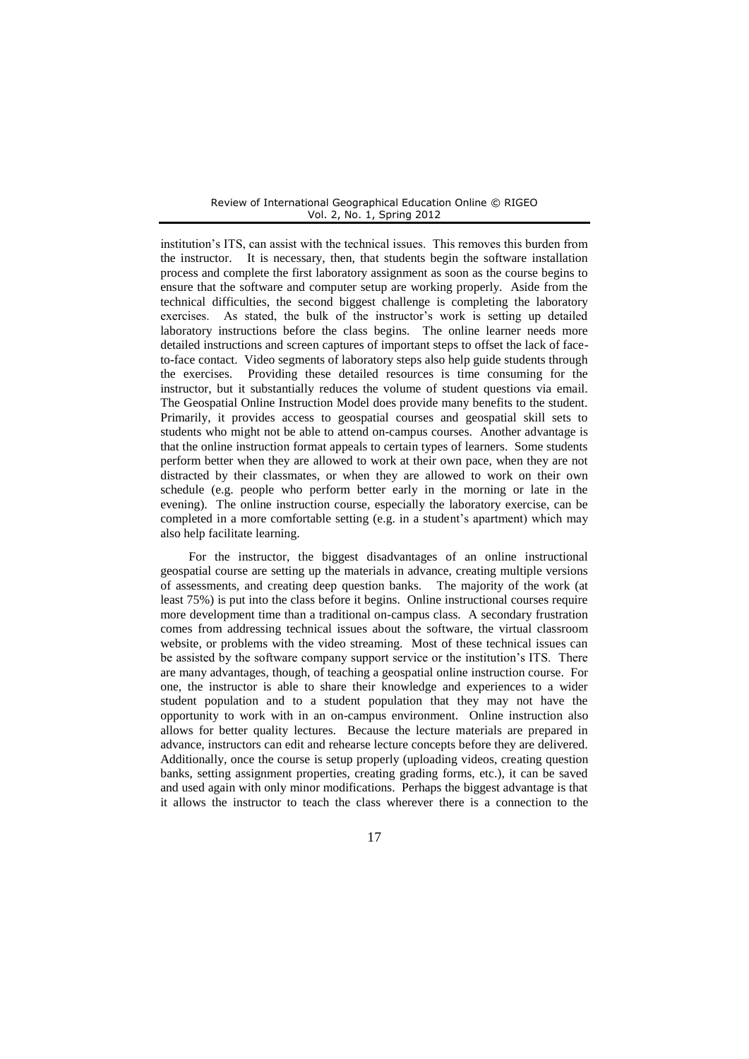institution's ITS, can assist with the technical issues. This removes this burden from the instructor. It is necessary, then, that students begin the software installation process and complete the first laboratory assignment as soon as the course begins to ensure that the software and computer setup are working properly. Aside from the technical difficulties, the second biggest challenge is completing the laboratory exercises. As stated, the bulk of the instructor's work is setting up detailed laboratory instructions before the class begins. The online learner needs more detailed instructions and screen captures of important steps to offset the lack of faceto-face contact. Video segments of laboratory steps also help guide students through the exercises. Providing these detailed resources is time consuming for the instructor, but it substantially reduces the volume of student questions via email. The Geospatial Online Instruction Model does provide many benefits to the student. Primarily, it provides access to geospatial courses and geospatial skill sets to students who might not be able to attend on-campus courses. Another advantage is that the online instruction format appeals to certain types of learners. Some students perform better when they are allowed to work at their own pace, when they are not distracted by their classmates, or when they are allowed to work on their own schedule (e.g. people who perform better early in the morning or late in the evening). The online instruction course, especially the laboratory exercise, can be completed in a more comfortable setting (e.g. in a student's apartment) which may also help facilitate learning.

For the instructor, the biggest disadvantages of an online instructional geospatial course are setting up the materials in advance, creating multiple versions of assessments, and creating deep question banks. The majority of the work (at least 75%) is put into the class before it begins. Online instructional courses require more development time than a traditional on-campus class. A secondary frustration comes from addressing technical issues about the software, the virtual classroom website, or problems with the video streaming. Most of these technical issues can be assisted by the software company support service or the institution's ITS. There are many advantages, though, of teaching a geospatial online instruction course. For one, the instructor is able to share their knowledge and experiences to a wider student population and to a student population that they may not have the opportunity to work with in an on-campus environment. Online instruction also allows for better quality lectures. Because the lecture materials are prepared in advance, instructors can edit and rehearse lecture concepts before they are delivered. Additionally, once the course is setup properly (uploading videos, creating question banks, setting assignment properties, creating grading forms, etc.), it can be saved and used again with only minor modifications. Perhaps the biggest advantage is that it allows the instructor to teach the class wherever there is a connection to the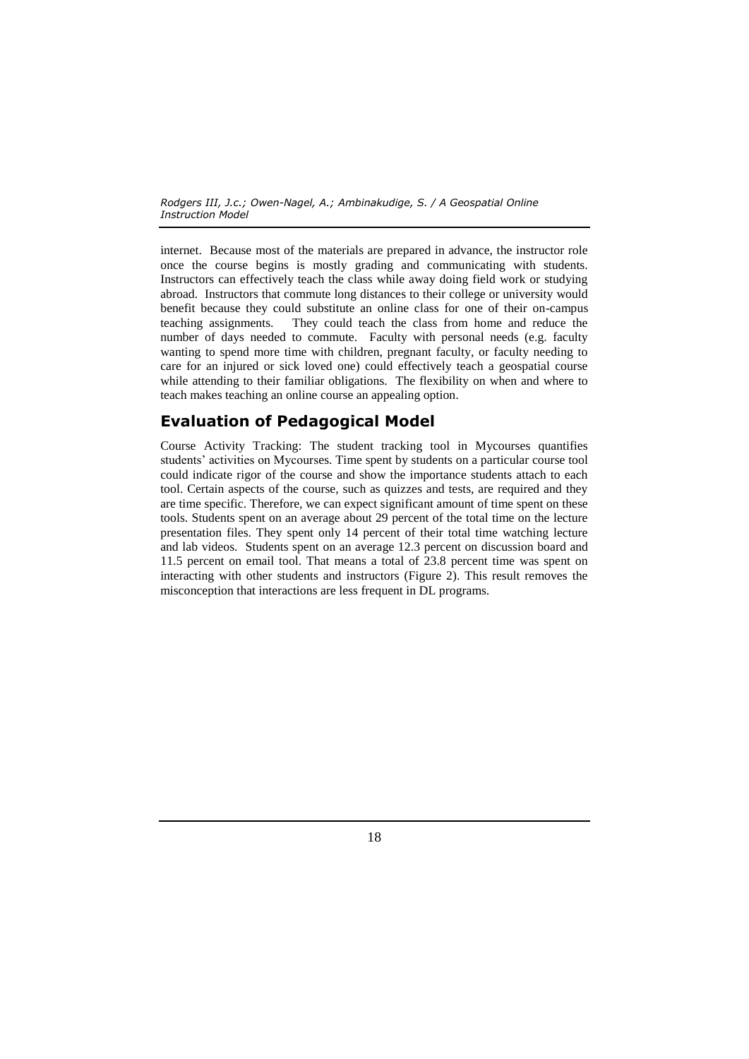internet. Because most of the materials are prepared in advance, the instructor role once the course begins is mostly grading and communicating with students. Instructors can effectively teach the class while away doing field work or studying abroad. Instructors that commute long distances to their college or university would benefit because they could substitute an online class for one of their on-campus teaching assignments. They could teach the class from home and reduce the number of days needed to commute. Faculty with personal needs (e.g. faculty wanting to spend more time with children, pregnant faculty, or faculty needing to care for an injured or sick loved one) could effectively teach a geospatial course while attending to their familiar obligations. The flexibility on when and where to teach makes teaching an online course an appealing option.

### **Evaluation of Pedagogical Model**

Course Activity Tracking: The student tracking tool in Mycourses quantifies students' activities on Mycourses. Time spent by students on a particular course tool could indicate rigor of the course and show the importance students attach to each tool. Certain aspects of the course, such as quizzes and tests, are required and they are time specific. Therefore, we can expect significant amount of time spent on these tools. Students spent on an average about 29 percent of the total time on the lecture presentation files. They spent only 14 percent of their total time watching lecture and lab videos. Students spent on an average 12.3 percent on discussion board and 11.5 percent on email tool. That means a total of 23.8 percent time was spent on interacting with other students and instructors (Figure 2). This result removes the misconception that interactions are less frequent in DL programs.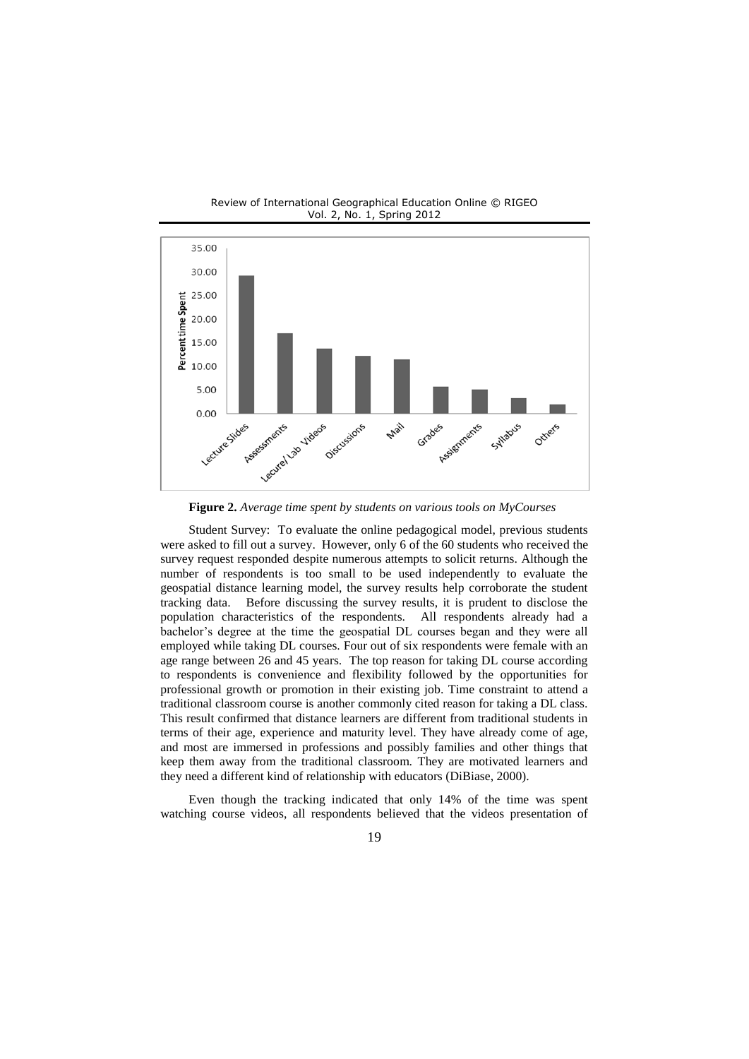

Review of International Geographical Education Online © RIGEO Vol. 2, No. 1, Spring 2012

**Figure 2.** *Average time spent by students on various tools on MyCourses*

Student Survey: To evaluate the online pedagogical model, previous students were asked to fill out a survey. However, only 6 of the 60 students who received the survey request responded despite numerous attempts to solicit returns. Although the number of respondents is too small to be used independently to evaluate the geospatial distance learning model, the survey results help corroborate the student tracking data. Before discussing the survey results, it is prudent to disclose the population characteristics of the respondents. All respondents already had a bachelor's degree at the time the geospatial DL courses began and they were all employed while taking DL courses. Four out of six respondents were female with an age range between 26 and 45 years. The top reason for taking DL course according to respondents is convenience and flexibility followed by the opportunities for professional growth or promotion in their existing job. Time constraint to attend a traditional classroom course is another commonly cited reason for taking a DL class. This result confirmed that distance learners are different from traditional students in terms of their age, experience and maturity level. They have already come of age, and most are immersed in professions and possibly families and other things that keep them away from the traditional classroom. They are motivated learners and they need a different kind of relationship with educators (DiBiase, 2000).

Even though the tracking indicated that only 14% of the time was spent watching course videos, all respondents believed that the videos presentation of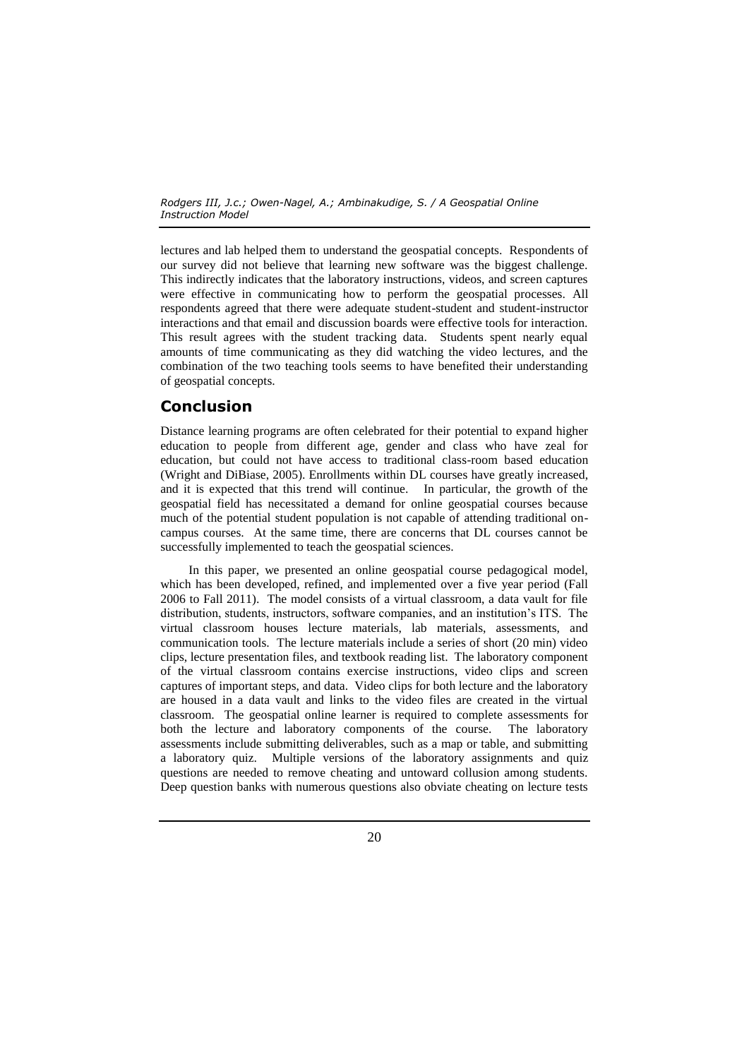lectures and lab helped them to understand the geospatial concepts. Respondents of our survey did not believe that learning new software was the biggest challenge. This indirectly indicates that the laboratory instructions, videos, and screen captures were effective in communicating how to perform the geospatial processes. All respondents agreed that there were adequate student-student and student-instructor interactions and that email and discussion boards were effective tools for interaction. This result agrees with the student tracking data. Students spent nearly equal amounts of time communicating as they did watching the video lectures, and the combination of the two teaching tools seems to have benefited their understanding of geospatial concepts.

# **Conclusion**

Distance learning programs are often celebrated for their potential to expand higher education to people from different age, gender and class who have zeal for education, but could not have access to traditional class-room based education (Wright and DiBiase, 2005). Enrollments within DL courses have greatly increased, and it is expected that this trend will continue. In particular, the growth of the geospatial field has necessitated a demand for online geospatial courses because much of the potential student population is not capable of attending traditional oncampus courses. At the same time, there are concerns that DL courses cannot be successfully implemented to teach the geospatial sciences.

In this paper, we presented an online geospatial course pedagogical model, which has been developed, refined, and implemented over a five year period (Fall 2006 to Fall 2011). The model consists of a virtual classroom, a data vault for file distribution, students, instructors, software companies, and an institution's ITS. The virtual classroom houses lecture materials, lab materials, assessments, and communication tools. The lecture materials include a series of short (20 min) video clips, lecture presentation files, and textbook reading list. The laboratory component of the virtual classroom contains exercise instructions, video clips and screen captures of important steps, and data. Video clips for both lecture and the laboratory are housed in a data vault and links to the video files are created in the virtual classroom. The geospatial online learner is required to complete assessments for both the lecture and laboratory components of the course. The laboratory assessments include submitting deliverables, such as a map or table, and submitting a laboratory quiz. Multiple versions of the laboratory assignments and quiz questions are needed to remove cheating and untoward collusion among students. Deep question banks with numerous questions also obviate cheating on lecture tests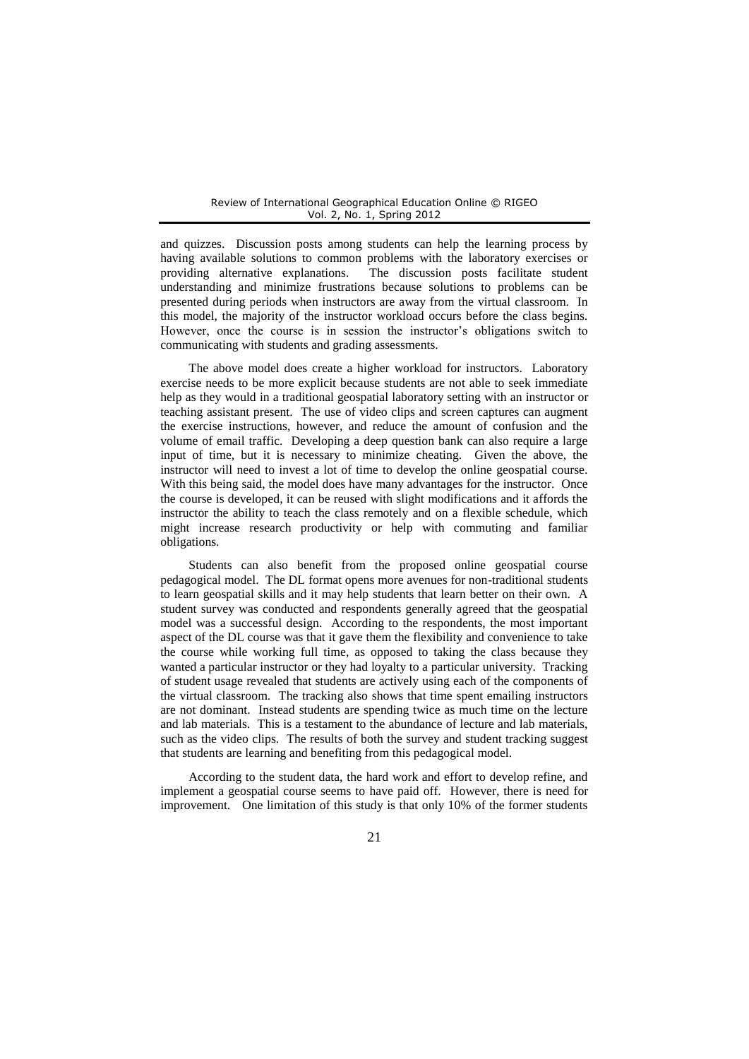and quizzes. Discussion posts among students can help the learning process by having available solutions to common problems with the laboratory exercises or providing alternative explanations. The discussion posts facilitate student understanding and minimize frustrations because solutions to problems can be presented during periods when instructors are away from the virtual classroom. In this model, the majority of the instructor workload occurs before the class begins. However, once the course is in session the instructor's obligations switch to communicating with students and grading assessments.

The above model does create a higher workload for instructors. Laboratory exercise needs to be more explicit because students are not able to seek immediate help as they would in a traditional geospatial laboratory setting with an instructor or teaching assistant present. The use of video clips and screen captures can augment the exercise instructions, however, and reduce the amount of confusion and the volume of email traffic. Developing a deep question bank can also require a large input of time, but it is necessary to minimize cheating. Given the above, the instructor will need to invest a lot of time to develop the online geospatial course. With this being said, the model does have many advantages for the instructor. Once the course is developed, it can be reused with slight modifications and it affords the instructor the ability to teach the class remotely and on a flexible schedule, which might increase research productivity or help with commuting and familiar obligations.

Students can also benefit from the proposed online geospatial course pedagogical model. The DL format opens more avenues for non-traditional students to learn geospatial skills and it may help students that learn better on their own. A student survey was conducted and respondents generally agreed that the geospatial model was a successful design. According to the respondents, the most important aspect of the DL course was that it gave them the flexibility and convenience to take the course while working full time, as opposed to taking the class because they wanted a particular instructor or they had loyalty to a particular university. Tracking of student usage revealed that students are actively using each of the components of the virtual classroom. The tracking also shows that time spent emailing instructors are not dominant. Instead students are spending twice as much time on the lecture and lab materials. This is a testament to the abundance of lecture and lab materials, such as the video clips. The results of both the survey and student tracking suggest that students are learning and benefiting from this pedagogical model.

According to the student data, the hard work and effort to develop refine, and implement a geospatial course seems to have paid off. However, there is need for improvement. One limitation of this study is that only 10% of the former students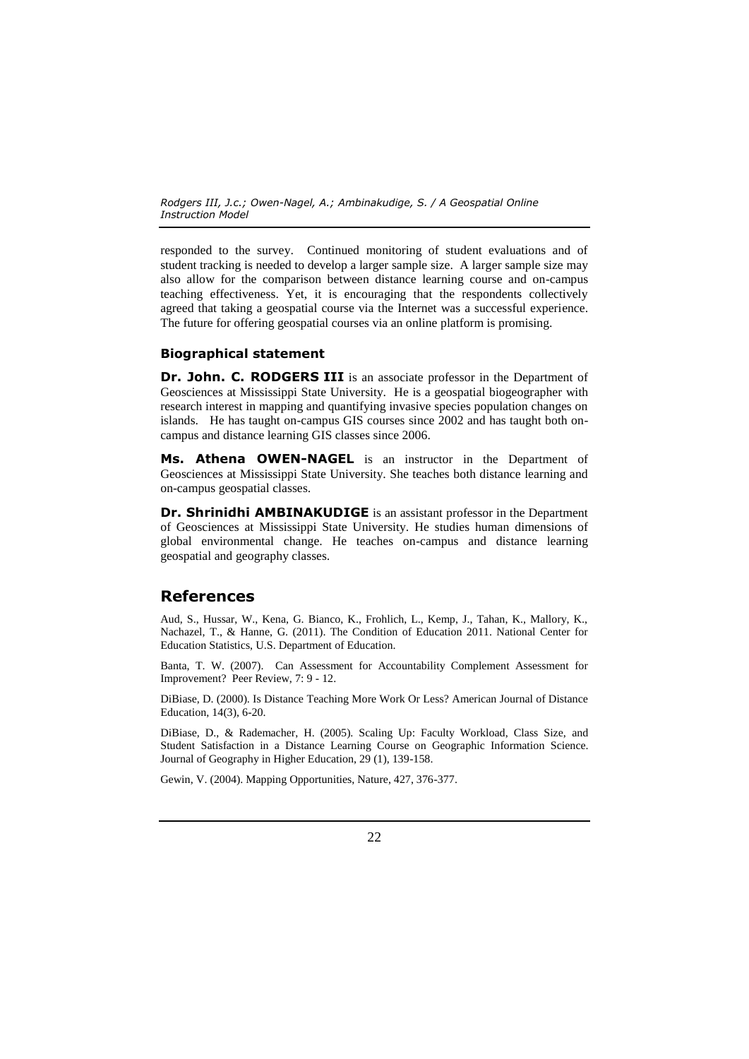responded to the survey. Continued monitoring of student evaluations and of student tracking is needed to develop a larger sample size. A larger sample size may also allow for the comparison between distance learning course and on-campus teaching effectiveness. Yet, it is encouraging that the respondents collectively agreed that taking a geospatial course via the Internet was a successful experience. The future for offering geospatial courses via an online platform is promising.

### **Biographical statement**

**Dr. John. C. RODGERS III** is an associate professor in the Department of Geosciences at Mississippi State University. He is a geospatial biogeographer with research interest in mapping and quantifying invasive species population changes on islands. He has taught on-campus GIS courses since 2002 and has taught both oncampus and distance learning GIS classes since 2006.

**Ms. Athena OWEN-NAGEL** is an instructor in the Department of Geosciences at Mississippi State University. She teaches both distance learning and on-campus geospatial classes.

**Dr. Shrinidhi AMBINAKUDIGE** is an assistant professor in the Department of Geosciences at Mississippi State University. He studies human dimensions of global environmental change. He teaches on-campus and distance learning geospatial and geography classes.

### **References**

Aud, S., Hussar, W., Kena, G. Bianco, K., Frohlich, L., Kemp, J., Tahan, K., Mallory, K., Nachazel, T., & Hanne, G. (2011). The Condition of Education 2011. National Center for Education Statistics, U.S. Department of Education.

Banta, T. W. (2007). Can Assessment for Accountability Complement Assessment for Improvement? Peer Review, 7: 9 - 12.

DiBiase, D. (2000). Is Distance Teaching More Work Or Less? American Journal of Distance Education, 14(3), 6-20.

DiBiase, D., & Rademacher, H. (2005). Scaling Up: Faculty Workload, Class Size, and Student Satisfaction in a Distance Learning Course on Geographic Information Science. Journal of Geography in Higher Education, 29 (1), 139-158.

Gewin, V. (2004). Mapping Opportunities, Nature, 427, 376-377.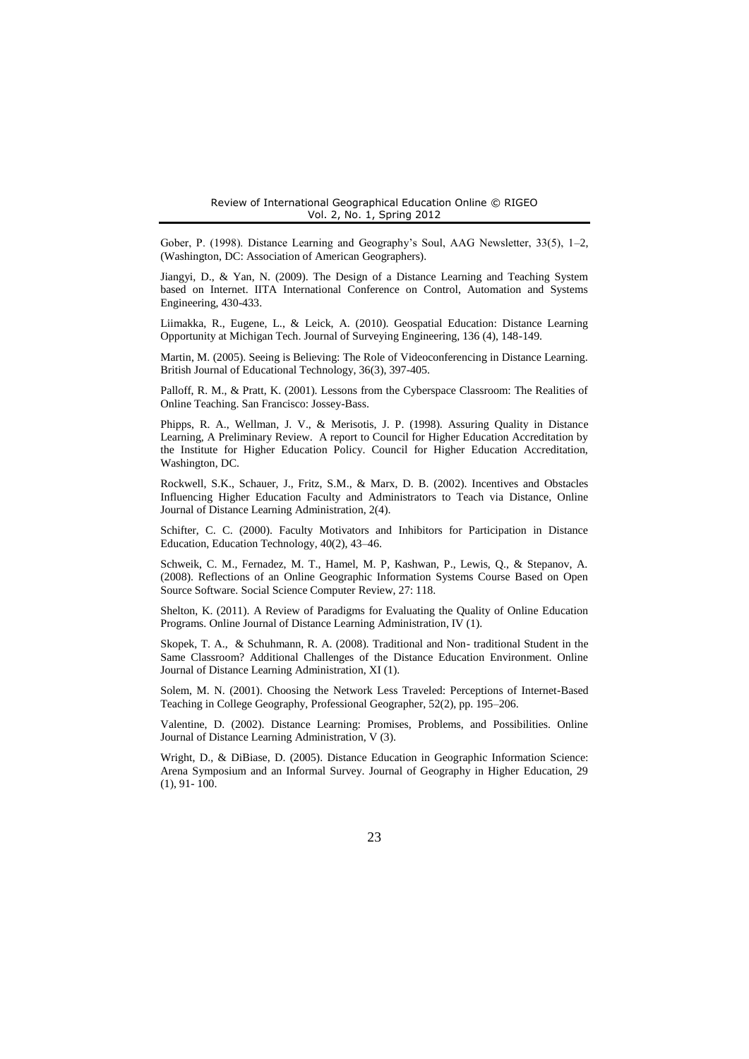Gober, P. (1998). Distance Learning and Geography's Soul, AAG Newsletter, 33(5), 1–2, (Washington, DC: Association of American Geographers).

Jiangyi, D., & Yan, N. (2009). The Design of a Distance Learning and Teaching System based on Internet. IITA International Conference on Control, Automation and Systems Engineering, 430-433.

Liimakka, R., Eugene, L., & Leick, A. (2010). Geospatial Education: Distance Learning Opportunity at Michigan Tech. Journal of Surveying Engineering, 136 (4), 148-149.

Martin, M. (2005). Seeing is Believing: The Role of Videoconferencing in Distance Learning. British Journal of Educational Technology, 36(3), 397-405.

Palloff, R. M., & Pratt, K. (2001). Lessons from the Cyberspace Classroom: The Realities of Online Teaching. San Francisco: Jossey-Bass.

Phipps, R. A., Wellman, J. V., & Merisotis, J. P. (1998). Assuring Quality in Distance Learning, A Preliminary Review. A report to Council for Higher Education Accreditation by the Institute for Higher Education Policy. Council for Higher Education Accreditation, Washington, DC.

Rockwell, S.K., Schauer, J., Fritz, S.M., & Marx, D. B. (2002). Incentives and Obstacles Influencing Higher Education Faculty and Administrators to Teach via Distance, Online Journal of Distance Learning Administration, 2(4).

Schifter, C. C. (2000). Faculty Motivators and Inhibitors for Participation in Distance Education, Education Technology, 40(2), 43–46.

Schweik, C. M., Fernadez, M. T., Hamel, M. P, Kashwan, P., Lewis, Q., & Stepanov, A. (2008). Reflections of an Online Geographic Information Systems Course Based on Open Source Software. Social Science Computer Review, 27: 118.

Shelton, K. (2011). A Review of Paradigms for Evaluating the Quality of Online Education Programs. Online Journal of Distance Learning Administration, IV (1).

Skopek, T. A., & Schuhmann, R. A. (2008). Traditional and Non- traditional Student in the Same Classroom? Additional Challenges of the Distance Education Environment. Online Journal of Distance Learning Administration, XI (1).

Solem, M. N. (2001). Choosing the Network Less Traveled: Perceptions of Internet-Based Teaching in College Geography, Professional Geographer, 52(2), pp. 195–206.

Valentine, D. (2002). Distance Learning: Promises, Problems, and Possibilities. Online Journal of Distance Learning Administration, V (3).

Wright, D., & DiBiase, D. (2005). Distance Education in Geographic Information Science: Arena Symposium and an Informal Survey. Journal of Geography in Higher Education, 29  $(1), 91 - 100.$